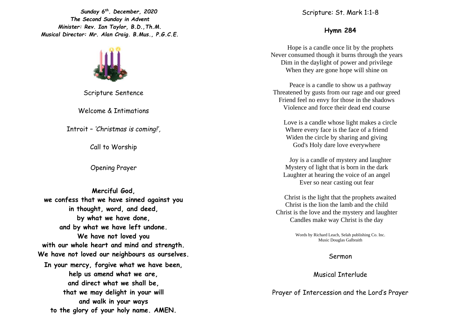*Sunday 6 th. December, 2020 The Second Sunday in Advent Minister: Rev. Ian Taylor, B.D.,Th.M. Musical Director: Mr. Alan Craig. B.Mus., P.G.C.E.*

Scripture Sentence

Welcome & Intimations

Introit – *'Christmas is coming!',*

Call to Worship

Opening Prayer

**Merciful God, we confess that we have sinned against you in thought, word, and deed, by what we have done, and by what we have left undone. We have not loved you with our whole heart and mind and strength. We have not loved our neighbours as ourselves. In your mercy, forgive what we have been, help us amend what we are, and direct what we shall be, that we may delight in your will and walk in your ways to the glory of your holy name. AMEN.**

Scripture: St. Mark 1:1-8

## **Hymn 284**

Hope is a candle once lit by the prophets Never consumed though it burns through the years Dim in the daylight of power and privilege When they are gone hope will shine on

Peace is a candle to show us a pathway Threatened by gusts from our rage and our greed Friend feel no envy for those in the shadows Violence and force their dead end course

Love is a candle whose light makes a circle Where every face is the face of a friend Widen the circle by sharing and giving God's Holy dare love everywhere

Joy is a candle of mystery and laughter Mystery of light that is born in the dark Laughter at hearing the voice of an angel Ever so near casting out fear

Christ is the light that the prophets awaited Christ is the lion the lamb and the child Christ is the love and the mystery and laughter Candles make way Christ is the day

> Words by Richard Leach, Selah publishing Co. Inc. Music Douglas Galbraith

## Sermon

Musical Interlude

Prayer of Intercession and the Lord's Prayer